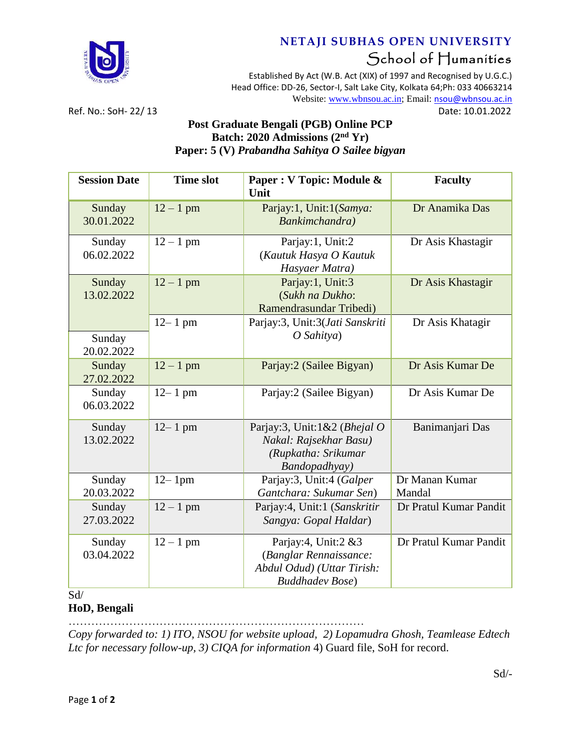

## **NETAJI SUBHAS OPEN UNIVERSITY** School of Humanities

Established By Act (W.B. Act (XIX) of 1997 and Recognised by U.G.C.) Head Office: DD-26, Sector-I, Salt Lake City, Kolkata 64;Ph: 033 40663214 Website: [www.wbnsou.ac.in;](http://www.wbnsou.ac.in/) Email: [nsou@wbnsou.ac.in](mailto:nsou@wbnsou.ac.in) Ref. No.: SoH- 22/ 13 Date: 10.01.2022

## **Post Graduate Bengali (PGB) Online PCP Batch: 2020 Admissions (2 nd Yr) Paper: 5 (V)** *Prabandha Sahitya O Sailee bigyan*

| <b>Session Date</b>  | <b>Time slot</b> | Paper : V Topic: Module &<br>Unit                                                                      | <b>Faculty</b>           |
|----------------------|------------------|--------------------------------------------------------------------------------------------------------|--------------------------|
| Sunday<br>30.01.2022 | $12 - 1$ pm      | Parjay:1, Unit:1(Samya:<br>Bankimchandra)                                                              | Dr Anamika Das           |
| Sunday<br>06.02.2022 | $12 - 1$ pm      | Parjay:1, Unit:2<br>(Kautuk Hasya O Kautuk<br>Hasyaer Matra)                                           | Dr Asis Khastagir        |
| Sunday<br>13.02.2022 | $12 - 1$ pm      | Parjay:1, Unit:3<br>(Sukh na Dukho:<br>Ramendrasundar Tribedi)                                         | Dr Asis Khastagir        |
| Sunday<br>20.02.2022 | $12 - 1$ pm      | Parjay:3, Unit:3(Jati Sanskriti<br>$O$ Sahitya)                                                        | Dr Asis Khatagir         |
| Sunday<br>27.02.2022 | $12 - 1$ pm      | Parjay:2 (Sailee Bigyan)                                                                               | Dr Asis Kumar De         |
| Sunday<br>06.03.2022 | $12 - 1$ pm      | Parjay:2 (Sailee Bigyan)                                                                               | Dr Asis Kumar De         |
| Sunday<br>13.02.2022 | $12 - 1$ pm      | Parjay:3, Unit:1&2 (Bhejal O<br>Nakal: Rajsekhar Basu)<br>(Rupkatha: Srikumar<br>Bandopadhyay)         | Banimanjari Das          |
| Sunday<br>20.03.2022 | $12 - 1$ pm      | Parjay:3, Unit:4 (Galper<br>Gantchara: Sukumar Sen)                                                    | Dr Manan Kumar<br>Mandal |
| Sunday<br>27.03.2022 | $12 - 1$ pm      | Parjay:4, Unit:1 (Sanskritir<br>Sangya: Gopal Haldar)                                                  | Dr Pratul Kumar Pandit   |
| Sunday<br>03.04.2022 | $12 - 1$ pm      | Parjay:4, Unit:2 &3<br>(Banglar Rennaissance:<br>Abdul Odud) (Uttar Tirish:<br><b>Buddhadev Bose</b> ) | Dr Pratul Kumar Pandit   |

Sd/

## **HoD, Bengali**

…………………………………………………………………… *Copy forwarded to: 1) ITO, NSOU for website upload, 2) Lopamudra Ghosh, Teamlease Edtech Ltc for necessary follow-up, 3) CIQA for information* 4) Guard file, SoH for record.